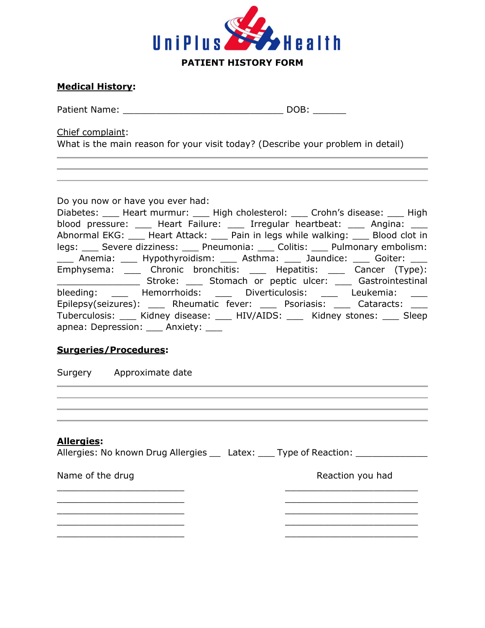

# **Medical History:**

Patient Name: \_\_\_\_\_\_\_\_\_\_\_\_\_\_\_\_\_\_\_\_\_\_\_\_\_\_\_\_\_ DOB: \_\_\_\_\_\_

Chief complaint:

What is the main reason for your visit today? (Describe your problem in detail)

Do you now or have you ever had:

| Diabetes: ____ Heart murmur: ____ High cholesterol: ____ Crohn's disease: ____ High  |
|--------------------------------------------------------------------------------------|
| blood pressure: _____ Heart Failure: _____ Irregular heartbeat: _____ Angina: ____   |
| Abnormal EKG: ____ Heart Attack: ____ Pain in legs while walking: ____ Blood clot in |
| legs: Severe dizziness: Pneumonia: Colitis: Pulmonary embolism:                      |
| ____ Anemia: ____ Hypothyroidism: ____ Asthma: ____ Jaundice: ____ Goiter: ____      |
| Emphysema: _____ Chronic bronchitis: _____ Hepatitis: _____ Cancer (Type):           |
| Stroke: _____ Stomach or peptic ulcer: ____ Gastrointestinal                         |
| bleeding: _____ Hemorrhoids: _____ Diverticulosis: ____ Leukemia: ____               |
| Epilepsy(seizures): _____ Rheumatic fever: _____ Psoriasis: _____ Cataracts: ____    |
| Tuberculosis: ___ Kidney disease: ___ HIV/AIDS: ___ Kidney stones: ___ Sleep         |
| apnea: Depression: ___ Anxiety: ___                                                  |

and the control of the control of the control of the control of the control of the control of the control of the

# **Surgeries/Procedures:**

Surgery Approximate date

# **Allergies:**

Allergies: No known Drug Allergies \_\_ Latex: \_\_\_ Type of Reaction: \_\_\_\_\_\_\_\_\_\_\_\_\_

Name of the drug Name of the drug Reaction you had

 $\mathcal{L}_\text{max}$  , where  $\mathcal{L}_\text{max}$ 

\_\_\_\_\_\_\_\_\_\_\_\_\_\_\_\_\_\_\_\_\_\_\_ \_\_\_\_\_\_\_\_\_\_\_\_\_\_\_\_\_\_\_\_\_\_\_\_  $\frac{1}{2}$  ,  $\frac{1}{2}$  ,  $\frac{1}{2}$  ,  $\frac{1}{2}$  ,  $\frac{1}{2}$  ,  $\frac{1}{2}$  ,  $\frac{1}{2}$  ,  $\frac{1}{2}$  ,  $\frac{1}{2}$  ,  $\frac{1}{2}$  ,  $\frac{1}{2}$  ,  $\frac{1}{2}$  ,  $\frac{1}{2}$  ,  $\frac{1}{2}$  ,  $\frac{1}{2}$  ,  $\frac{1}{2}$  ,  $\frac{1}{2}$  ,  $\frac{1}{2}$  ,  $\frac{1$ \_\_\_\_\_\_\_\_\_\_\_\_\_\_\_\_\_\_\_\_\_\_\_ \_\_\_\_\_\_\_\_\_\_\_\_\_\_\_\_\_\_\_\_\_\_\_\_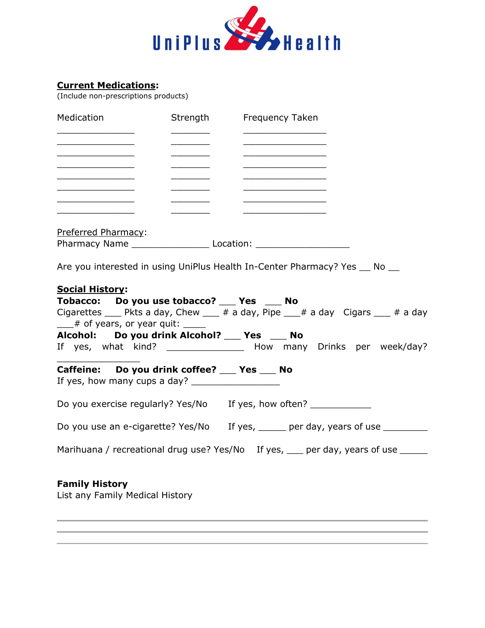

# **Current Medications:**

(Include non-prescriptions products)

| Medication                                                                                                                                                                      | Strength                                                                                                                                                                                                                                                                                                                                                                                                                         | <b>Frequency Taken</b>                                                                                                                                                     |
|---------------------------------------------------------------------------------------------------------------------------------------------------------------------------------|----------------------------------------------------------------------------------------------------------------------------------------------------------------------------------------------------------------------------------------------------------------------------------------------------------------------------------------------------------------------------------------------------------------------------------|----------------------------------------------------------------------------------------------------------------------------------------------------------------------------|
| <u> 1989 - Johann John Stone, markin sammen fyrstum og fyrir og fyrir og fyrir og fyrir og fyrir og fyrir og fyri</u>                                                           |                                                                                                                                                                                                                                                                                                                                                                                                                                  | the control of the control of the control of the control of                                                                                                                |
| <u> 1980 - Johann Barbara, martxa alemaniar a</u><br><u> 1989 - Johann Harry Harry Harry Harry Harry Harry Harry Harry Harry Harry Harry Harry Harry Harry Harry Harry</u>      | $\frac{1}{\sqrt{2\pi}}\left(\frac{1}{\sqrt{2\pi}}\right)^{2}=\frac{1}{\sqrt{2\pi}}\left(\frac{1}{\sqrt{2\pi}}\right)^{2}=\frac{1}{\sqrt{2\pi}}\left(\frac{1}{\sqrt{2\pi}}\right)^{2}=\frac{1}{\sqrt{2\pi}}\left(\frac{1}{\sqrt{2\pi}}\right)^{2}=\frac{1}{\sqrt{2\pi}}\left(\frac{1}{\sqrt{2\pi}}\right)^{2}=\frac{1}{\sqrt{2\pi}}\left(\frac{1}{\sqrt{2\pi}}\right)^{2}=\frac{1}{\sqrt{2\pi}}\left(\frac{1}{\sqrt{2\pi}}\right$ | <u> 1980 - Johann John Stone, mars eta bainar eta bainar eta baina eta baina eta baina eta baina eta baina eta b</u>                                                       |
| <u> 1989 - Johann John Stone, mars eta biztanleria (</u><br>the control of the control of the control of the control of the control of                                          |                                                                                                                                                                                                                                                                                                                                                                                                                                  | <u> 1989 - Johann Stein, markin film fan it ferstjer fan it ferstjer fan it ferstjer fan it ferstjer fan it fers</u><br>the control of the control of the control of the   |
| <u> 1980 - Johann John Stone, mars eta biztanleria (</u><br><u> 1980 - Johann John Stone, mars eta bainar eta bainar eta bainar eta bainar eta bainar eta baina eta baina e</u> |                                                                                                                                                                                                                                                                                                                                                                                                                                  | <u> 1989 - Johann John Stone, markin fan it ferstjer fan it ferstjer fan it ferstjer fan it ferstjer fan it fers</u>                                                       |
| Preferred Pharmacy:                                                                                                                                                             |                                                                                                                                                                                                                                                                                                                                                                                                                                  |                                                                                                                                                                            |
|                                                                                                                                                                                 |                                                                                                                                                                                                                                                                                                                                                                                                                                  |                                                                                                                                                                            |
| <b>Social History:</b><br>Tobacco: Do you use tobacco? Yes No<br>$\frac{1}{2}$ of years, or year quit: $\frac{1}{2}$<br>Alcohol: Do you drink Alcohol? ___ Yes ___ No           |                                                                                                                                                                                                                                                                                                                                                                                                                                  | Cigarettes $\_\_\_$ Pkts a day, Chew $\_\_\_$ # a day, Pipe $\_\_\_$ # a day Cigars $\_\_\_$ # a day<br>If yes, what kind? _________________ How many Drinks per week/day? |
| Caffeine: Do you drink coffee? ___ Yes ___ No                                                                                                                                   |                                                                                                                                                                                                                                                                                                                                                                                                                                  |                                                                                                                                                                            |
|                                                                                                                                                                                 |                                                                                                                                                                                                                                                                                                                                                                                                                                  | Do you exercise regularly? Yes/No If yes, how often? ____________                                                                                                          |
|                                                                                                                                                                                 |                                                                                                                                                                                                                                                                                                                                                                                                                                  | Do you use an e-cigarette? Yes/No If yes, _____ per day, years of use ________                                                                                             |
|                                                                                                                                                                                 |                                                                                                                                                                                                                                                                                                                                                                                                                                  | Marihuana / recreational drug use? Yes/No If yes, __ per day, years of use _____                                                                                           |
| <b>Family History</b><br>List any Family Medical History                                                                                                                        |                                                                                                                                                                                                                                                                                                                                                                                                                                  |                                                                                                                                                                            |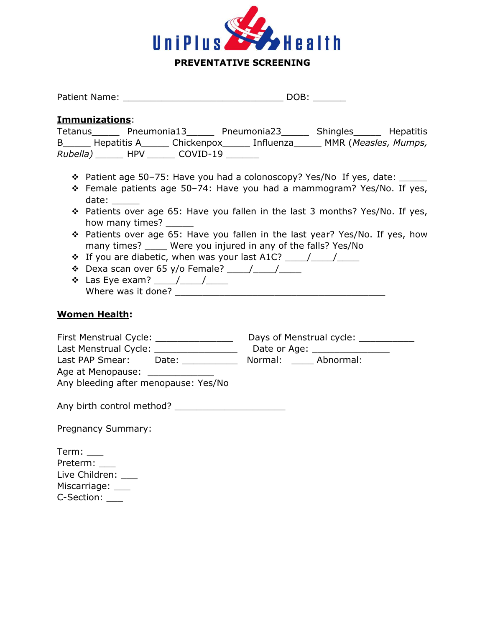

|                                                                                                                                                                                                                                                                                                                                                                                                                                                                                                                                                                                                                                                                                                                                                                                                                            | Patient Name: Name and Solid Marian Contract of the DOB: |  |  |  |
|----------------------------------------------------------------------------------------------------------------------------------------------------------------------------------------------------------------------------------------------------------------------------------------------------------------------------------------------------------------------------------------------------------------------------------------------------------------------------------------------------------------------------------------------------------------------------------------------------------------------------------------------------------------------------------------------------------------------------------------------------------------------------------------------------------------------------|----------------------------------------------------------|--|--|--|
|                                                                                                                                                                                                                                                                                                                                                                                                                                                                                                                                                                                                                                                                                                                                                                                                                            |                                                          |  |  |  |
| Immunizations:<br>Tetanus Pneumonia13 Pneumonia23 Shingles Hepatitis<br>B______ Hepatitis A______ Chickenpox______ Influenza______ MMR (Measles, Mumps,<br>Rubella) _______ HPV _______ COVID-19 _______                                                                                                                                                                                                                                                                                                                                                                                                                                                                                                                                                                                                                   |                                                          |  |  |  |
| * Patient age 50-75: Have you had a colonoscopy? Yes/No If yes, date: _____<br>* Female patients age 50-74: Have you had a mammogram? Yes/No. If yes,<br>date:<br>* Patients over age 65: Have you fallen in the last 3 months? Yes/No. If yes,<br>how many times?<br>* Patients over age 65: Have you fallen in the last year? Yes/No. If yes, how<br>many times? _____ Were you injured in any of the falls? Yes/No<br>$\cdot$ If you are diabetic, when was your last A1C? $\frac{1}{\sqrt{1-\frac{1}{2}}}\cdot\frac{1}{\sqrt{1-\frac{1}{2}}}\cdot\frac{1}{\sqrt{1-\frac{1}{2}}}\cdot\frac{1}{\sqrt{1-\frac{1}{2}}}\cdot\frac{1}{\sqrt{1-\frac{1}{2}}}\cdot\frac{1}{\sqrt{1-\frac{1}{2}}}\cdot\frac{1}{\sqrt{1-\frac{1}{2}}}\cdot\frac{1}{\sqrt{1-\frac{1}{2}}}\cdot\frac{1}{\sqrt{1-\frac{1}{2}}}\cdot\frac{1}{\sqrt{$ |                                                          |  |  |  |
| <b>Women Health:</b>                                                                                                                                                                                                                                                                                                                                                                                                                                                                                                                                                                                                                                                                                                                                                                                                       |                                                          |  |  |  |
| First Menstrual Cycle: Days of Menstrual cycle: 2008<br>Last PAP Smear: Date: 1988<br>Age at Menopause: ______________<br>Any bleeding after menopause: Yes/No                                                                                                                                                                                                                                                                                                                                                                                                                                                                                                                                                                                                                                                             | Normal: Abnormal:                                        |  |  |  |
|                                                                                                                                                                                                                                                                                                                                                                                                                                                                                                                                                                                                                                                                                                                                                                                                                            |                                                          |  |  |  |
| <b>Pregnancy Summary:</b>                                                                                                                                                                                                                                                                                                                                                                                                                                                                                                                                                                                                                                                                                                                                                                                                  |                                                          |  |  |  |
| Preterm: ___<br>Live Children: ___                                                                                                                                                                                                                                                                                                                                                                                                                                                                                                                                                                                                                                                                                                                                                                                         |                                                          |  |  |  |

Miscarriage: \_\_\_

C-Section: \_\_\_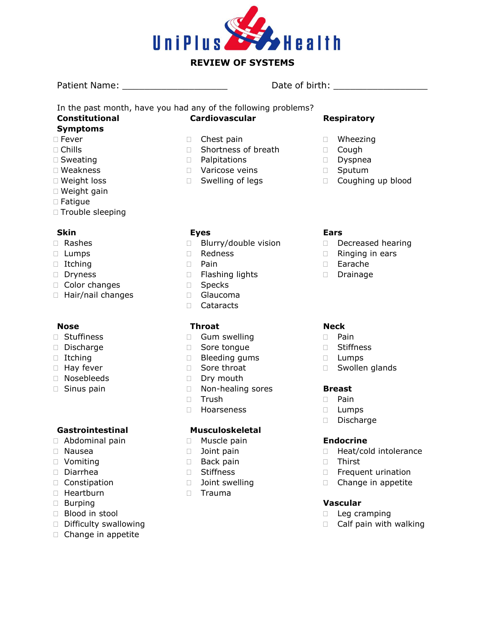

# **REVIEW OF SYSTEMS**

Patient Name: \_\_\_\_\_\_\_\_\_\_\_\_\_\_\_\_\_\_\_ Date of birth: \_\_\_\_\_\_\_\_\_\_\_\_\_\_\_\_\_

In the past month, have you had any of the following problems? **Constitutional Cardiovascular** 

# **Symptoms**

- □ Fever
- $\Box$  Chills
- □ Sweating
- Weakness
- Weight loss
- □ Weight gain
- Fatigue
- $\Box$  Trouble sleeping

### **Skin**

- Rashes
- Lumps
- $\Box$  Itching
- Dryness
- $\Box$  Color changes
- Hair/nail changes

### **Nose**

- Stuffiness
- Discharge
- Itching
- **Hay fever**
- Nosebleeds
- □ Sinus pain

# **Gastrointestinal**

- Abdominal pain
- Nausea
- Vomiting
- Diarrhea
- Constipation
- Heartburn
- Burping
- Blood in stool
- Difficulty swallowing
- $\Box$  Change in appetite
- □ Chest pain
- □ Shortness of breath
- **D** Palpitations
- Varicose veins
- □ Swelling of legs

### **Eyes**

- □ Blurry/double vision
- n Redness
- D Pain
- □ Flashing lights
- Specks
- Glaucoma
- Cataracts

### **Throat**

- Gum swelling
- Sore tongue
- □ Bleeding gums
- □ Sore throat
- Dry mouth
- □ Non-healing sores
- □ Trush
- Hoarseness

### **Musculoskeletal**

- **Muscle pain**
- **D** Joint pain
- **Back pain**
- □ Stiffness
	- **D** Joint swelling
	- D Trauma

# **Respiratory**

- Wheezing
- Cough
- Dyspnea
- D Sputum
- D Coughing up blood

### **Ears**

- Decreased hearing
- $\Box$  Ringing in ears
- Earache
- Drainage

### **Neck**

- Pain
- Stiffness
- D Lumps
- Swollen glands

### **Breast**

- Pain
- Lumps
- Discharge

### **Endocrine**

- □ Heat/cold intolerance
- Thirst
- **Frequent urination**
- □ Change in appetite

### **Vascular**

- $\Box$  Leg cramping
- $\Box$  Calf pain with walking
- 
-